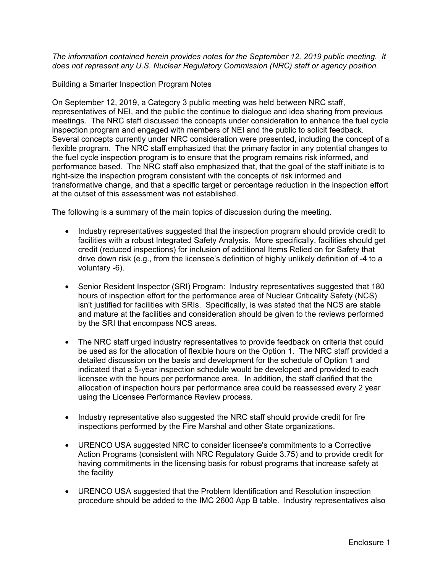*The information contained herein provides notes for the September 12, 2019 public meeting. It does not represent any U.S. Nuclear Regulatory Commission (NRC) staff or agency position.* 

## Building a Smarter Inspection Program Notes

On September 12, 2019, a Category 3 public meeting was held between NRC staff, representatives of NEI, and the public the continue to dialogue and idea sharing from previous meetings. The NRC staff discussed the concepts under consideration to enhance the fuel cycle inspection program and engaged with members of NEI and the public to solicit feedback. Several concepts currently under NRC consideration were presented, including the concept of a flexible program. The NRC staff emphasized that the primary factor in any potential changes to the fuel cycle inspection program is to ensure that the program remains risk informed, and performance based. The NRC staff also emphasized that, that the goal of the staff initiate is to right-size the inspection program consistent with the concepts of risk informed and transformative change, and that a specific target or percentage reduction in the inspection effort at the outset of this assessment was not established.

The following is a summary of the main topics of discussion during the meeting.

- Industry representatives suggested that the inspection program should provide credit to facilities with a robust Integrated Safety Analysis. More specifically, facilities should get credit (reduced inspections) for inclusion of additional Items Relied on for Safety that drive down risk (e.g., from the licensee's definition of highly unlikely definition of -4 to a voluntary -6).
- Senior Resident Inspector (SRI) Program: Industry representatives suggested that 180 hours of inspection effort for the performance area of Nuclear Criticality Safety (NCS) isn't justified for facilities with SRIs. Specifically, is was stated that the NCS are stable and mature at the facilities and consideration should be given to the reviews performed by the SRI that encompass NCS areas.
- The NRC staff urged industry representatives to provide feedback on criteria that could be used as for the allocation of flexible hours on the Option 1. The NRC staff provided a detailed discussion on the basis and development for the schedule of Option 1 and indicated that a 5-year inspection schedule would be developed and provided to each licensee with the hours per performance area. In addition, the staff clarified that the allocation of inspection hours per performance area could be reassessed every 2 year using the Licensee Performance Review process.
- Industry representative also suggested the NRC staff should provide credit for fire inspections performed by the Fire Marshal and other State organizations.
- URENCO USA suggested NRC to consider licensee's commitments to a Corrective Action Programs (consistent with NRC Regulatory Guide 3.75) and to provide credit for having commitments in the licensing basis for robust programs that increase safety at the facility
- URENCO USA suggested that the Problem Identification and Resolution inspection procedure should be added to the IMC 2600 App B table. Industry representatives also